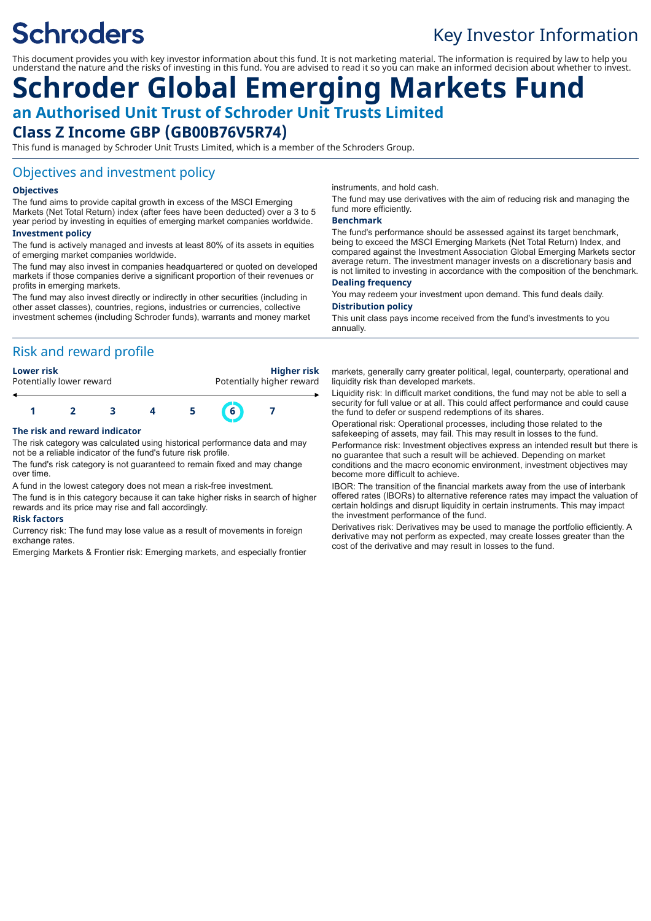# **Schroders**

### Key Investor Information

This document provides you with key investor information about this fund. It is not marketing material. The information is required by law to help you understand the nature and the risks of investing in this fund. You are advised to read it so you can make an informed decision about whether to invest.

## **Schroder Global Emerging Markets Fund an Authorised Unit Trust of Schroder Unit Trusts Limited Class Z Income GBP (GB00B76V5R74)**

This fund is managed by Schroder Unit Trusts Limited, which is a member of the Schroders Group.

#### Objectives and investment policy

#### **Objectives**

The fund aims to provide capital growth in excess of the MSCI Emerging Markets (Net Total Return) index (after fees have been deducted) over a 3 to 5 year period by investing in equities of emerging market companies worldwide.

#### **Investment policy**

The fund is actively managed and invests at least 80% of its assets in equities of emerging market companies worldwide.

The fund may also invest in companies headquartered or quoted on developed markets if those companies derive a significant proportion of their revenues or profits in emerging markets.

The fund may also invest directly or indirectly in other securities (including in other asset classes), countries, regions, industries or currencies, collective investment schemes (including Schroder funds), warrants and money market

#### Risk and reward profile

**Lower risk Higher risk** Potentially higher reward



#### **The risk and reward indicator**

The risk category was calculated using historical performance data and may not be a reliable indicator of the fund's future risk profile.

The fund's risk category is not guaranteed to remain fixed and may change over time.

A fund in the lowest category does not mean a risk-free investment.

The fund is in this category because it can take higher risks in search of higher rewards and its price may rise and fall accordingly.

#### **Risk factors**

Currency risk: The fund may lose value as a result of movements in foreign exchange rates.

Emerging Markets & Frontier risk: Emerging markets, and especially frontier

instruments, and hold cash.

The fund may use derivatives with the aim of reducing risk and managing the fund more efficiently.

#### **Benchmark**

The fund's performance should be assessed against its target benchmark, being to exceed the MSCI Emerging Markets (Net Total Return) Index, and compared against the Investment Association Global Emerging Markets sector average return. The investment manager invests on a discretionary basis and is not limited to investing in accordance with the composition of the benchmark.

#### **Dealing frequency**

You may redeem your investment upon demand. This fund deals daily. **Distribution policy**

This unit class pays income received from the fund's investments to you annually.

markets, generally carry greater political, legal, counterparty, operational and liquidity risk than developed markets.

Liquidity risk: In difficult market conditions, the fund may not be able to sell a security for full value or at all. This could affect performance and could cause the fund to defer or suspend redemptions of its shares.

Operational risk: Operational processes, including those related to the safekeeping of assets, may fail. This may result in losses to the fund. Performance risk: Investment objectives express an intended result but there is no guarantee that such a result will be achieved. Depending on market conditions and the macro economic environment, investment objectives may become more difficult to achieve.

IBOR: The transition of the financial markets away from the use of interbank offered rates (IBORs) to alternative reference rates may impact the valuation of certain holdings and disrupt liquidity in certain instruments. This may impact the investment performance of the fund.

Derivatives risk: Derivatives may be used to manage the portfolio efficiently. A derivative may not perform as expected, may create losses greater than the cost of the derivative and may result in losses to the fund.